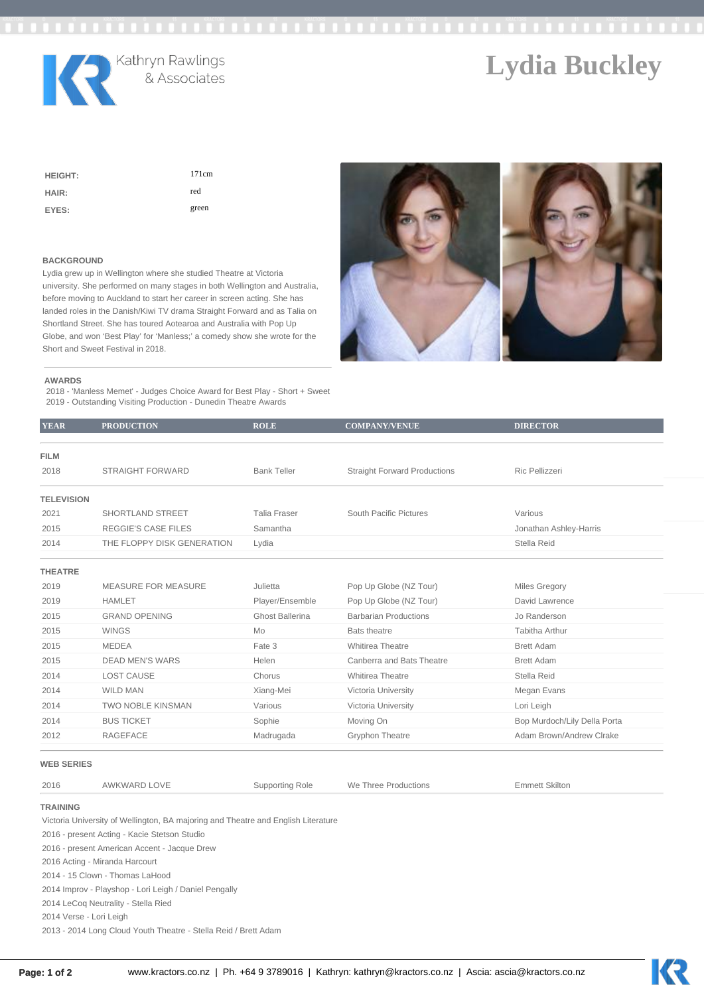

# Kathryn Rawlings<br>& Associates

## **Lydia Buckley**

KR

| <b>HEIGHT:</b> | 171cm |
|----------------|-------|
| HAIR:          | red   |
| EYES:          | green |

#### **BACKGROUND**

Lydia grew up in Wellington where she studied Theatre at Victoria university. She performed on many stages in both Wellington and Australia, before moving to Auckland to start her career in screen acting. She has landed roles in the Danish/Kiwi TV drama Straight Forward and as Talia on Shortland Street. She has toured Aotearoa and Australia with Pop Up Globe, and won 'Best Play' for 'Manless;' a comedy show she wrote for the Short and Sweet Festival in 2018.



#### **AWARDS**

2018 - 'Manless Memet' - Judges Choice Award for Best Play - Short + Sweet 2019 - Outstanding Visiting Production - Dunedin Theatre Awards

| <b>YEAR</b>       | <b>PRODUCTION</b>          | <b>ROLE</b>         | <b>COMPANY/VENUE</b>                | <b>DIRECTOR</b>              |
|-------------------|----------------------------|---------------------|-------------------------------------|------------------------------|
| <b>FILM</b>       |                            |                     |                                     |                              |
| 2018              | <b>STRAIGHT FORWARD</b>    | <b>Bank Teller</b>  | <b>Straight Forward Productions</b> | Ric Pellizzeri               |
| <b>TELEVISION</b> |                            |                     |                                     |                              |
| 2021              | SHORTLAND STREET           | <b>Talia Fraser</b> | South Pacific Pictures              | Various                      |
| 2015              | <b>REGGIE'S CASE FILES</b> | Samantha            |                                     | Jonathan Ashley-Harris       |
| 2014              | THE FLOPPY DISK GENERATION | Lydia               |                                     | Stella Reid                  |
| <b>THEATRE</b>    |                            |                     |                                     |                              |
| 2019              | <b>MEASURE FOR MEASURE</b> | Julietta            | Pop Up Globe (NZ Tour)              | <b>Miles Gregory</b>         |
| 2019              | <b>HAMLET</b>              | Player/Ensemble     | Pop Up Globe (NZ Tour)              | David Lawrence               |
| 2015              | <b>GRAND OPENING</b>       | Ghost Ballerina     | <b>Barbarian Productions</b>        | Jo Randerson                 |
| 2015              | <b>WINGS</b>               | Mo                  | <b>Bats theatre</b>                 | <b>Tabitha Arthur</b>        |
| 2015              | <b>MEDEA</b>               | Fate 3              | Whitirea Theatre                    | <b>Brett Adam</b>            |
| 2015              | <b>DEAD MEN'S WARS</b>     | Helen               | Canberra and Bats Theatre           | <b>Brett Adam</b>            |
| 2014              | <b>LOST CAUSE</b>          | Chorus              | <b>Whitirea Theatre</b>             | Stella Reid                  |
| 2014              | <b>WILD MAN</b>            | Xiang-Mei           | Victoria University                 | Megan Evans                  |
| 2014              | <b>TWO NOBLE KINSMAN</b>   | Various             | Victoria University                 | Lori Leigh                   |
| 2014              | <b>BUS TICKET</b>          | Sophie              | Moving On                           | Bop Murdoch/Lily Della Porta |
| 2012              | <b>RAGEFACE</b>            | Madrugada           | Gryphon Theatre                     | Adam Brown/Andrew Clrake     |
| WED OFBIEQ        |                            |                     |                                     |                              |

#### **WEB SERIES**

| WEB SERIES      |                                                                                   |                 |                      |                       |  |  |  |
|-----------------|-----------------------------------------------------------------------------------|-----------------|----------------------|-----------------------|--|--|--|
| 2016            | AWKWARD LOVE                                                                      | Supporting Role | We Three Productions | <b>Emmett Skiltor</b> |  |  |  |
| <b>TRAINING</b> |                                                                                   |                 |                      |                       |  |  |  |
|                 | Victoria University of Wellington, BA majoring and Theatre and English Literature |                 |                      |                       |  |  |  |
|                 | 2016 - present Acting - Kacie Stetson Studio                                      |                 |                      |                       |  |  |  |
|                 | 2016 - present American Accent - Jacque Drew                                      |                 |                      |                       |  |  |  |
|                 | 2016 Acting - Miranda Harcourt                                                    |                 |                      |                       |  |  |  |
|                 | 2014 - 15 Clown - Thomas LaHood                                                   |                 |                      |                       |  |  |  |
|                 | 2014 Improv - Playshop - Lori Leigh / Daniel Pengally                             |                 |                      |                       |  |  |  |
|                 | 2014 LeCog Neutrality - Stella Ried                                               |                 |                      |                       |  |  |  |

2014 Verse - Lori Leigh

2013 - 2014 Long Cloud Youth Theatre - Stella Reid / Brett Adam